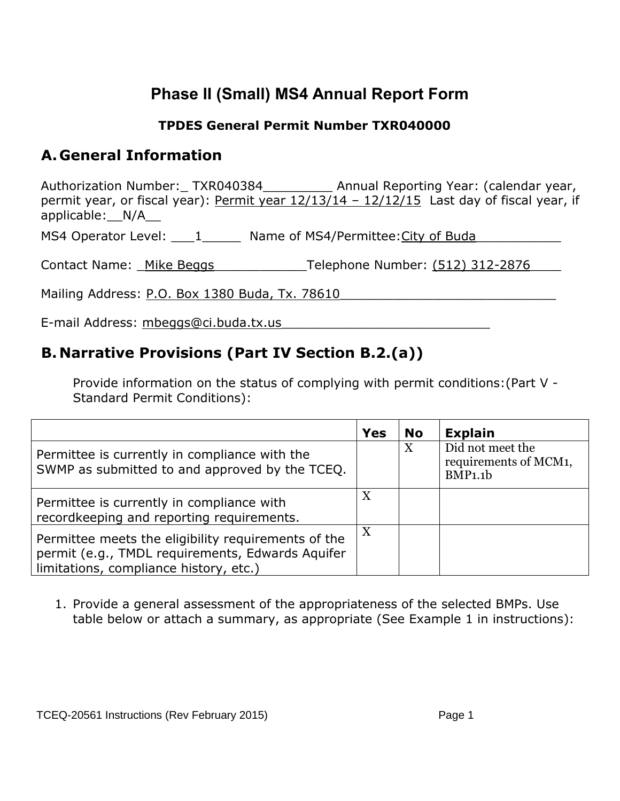# **Phase II (Small) MS4 Annual Report Form**

#### **TPDES General Permit Number TXR040000**

#### **A. General Information**

Authorization Number:\_TXR040384\_\_\_\_\_\_\_\_\_\_\_ Annual Reporting Year: (calendar year, permit year, or fiscal year): Permit year  $12/13/14 - 12/12/15$  Last day of fiscal year, if applicable:\_\_N/A\_\_

MS4 Operator Level: \_\_\_1\_\_\_\_\_\_ Name of MS4/Permittee: City of Buda

Contact Name: Mike Beggs Telephone Number: (512) 312-2876

Mailing Address: P.O. Box 1380 Buda, Tx. 78610

E-mail Address: mbeggs@ci.buda.tx.us

#### **B. Narrative Provisions (Part IV Section B.2.(a))**

Provide information on the status of complying with permit conditions:(Part V - Standard Permit Conditions):

|                                                                                                                                                   | Yes | <b>No</b> | <b>Explain</b>                                       |
|---------------------------------------------------------------------------------------------------------------------------------------------------|-----|-----------|------------------------------------------------------|
| Permittee is currently in compliance with the<br>SWMP as submitted to and approved by the TCEQ.                                                   |     | X         | Did not meet the<br>requirements of MCM1,<br>BMP1.1b |
| Permittee is currently in compliance with<br>recordkeeping and reporting requirements.                                                            | X   |           |                                                      |
| Permittee meets the eligibility requirements of the<br>permit (e.g., TMDL requirements, Edwards Aquifer<br>limitations, compliance history, etc.) | X   |           |                                                      |

1. Provide a general assessment of the appropriateness of the selected BMPs. Use table below or attach a summary, as appropriate (See Example 1 in instructions):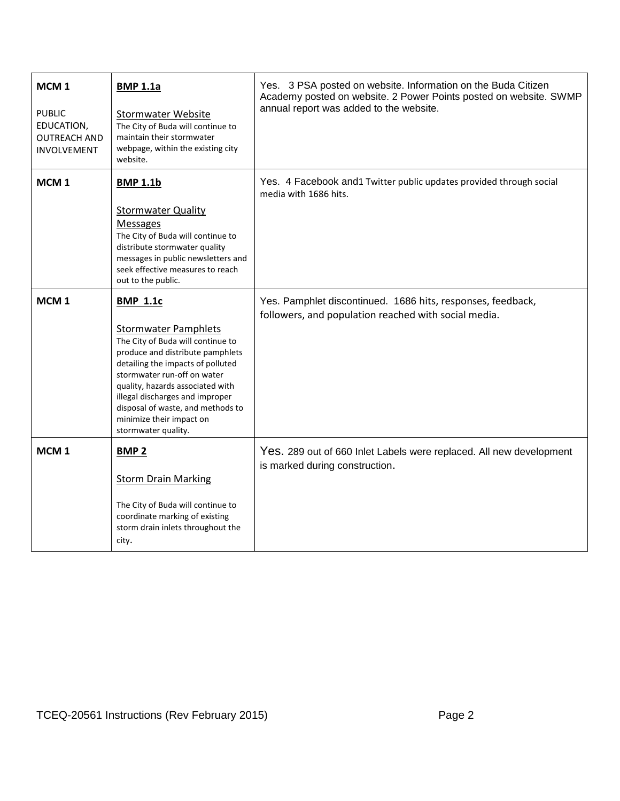| MCM <sub>1</sub><br><b>PUBLIC</b><br>EDUCATION,<br><b>OUTREACH AND</b><br><b>INVOLVEMENT</b> | <b>BMP 1.1a</b><br><b>Stormwater Website</b><br>The City of Buda will continue to<br>maintain their stormwater<br>webpage, within the existing city<br>website.                                                                                                                                                                                            | Yes. 3 PSA posted on website. Information on the Buda Citizen<br>Academy posted on website. 2 Power Points posted on website. SWMP<br>annual report was added to the website. |  |  |  |
|----------------------------------------------------------------------------------------------|------------------------------------------------------------------------------------------------------------------------------------------------------------------------------------------------------------------------------------------------------------------------------------------------------------------------------------------------------------|-------------------------------------------------------------------------------------------------------------------------------------------------------------------------------|--|--|--|
| MCM <sub>1</sub>                                                                             | <b>BMP 1.1b</b><br><b>Stormwater Quality</b><br><b>Messages</b><br>The City of Buda will continue to<br>distribute stormwater quality<br>messages in public newsletters and<br>seek effective measures to reach<br>out to the public.                                                                                                                      | Yes. 4 Facebook and1 Twitter public updates provided through social<br>media with 1686 hits.                                                                                  |  |  |  |
| MCM <sub>1</sub>                                                                             | <b>BMP 1.1c</b><br><b>Stormwater Pamphlets</b><br>The City of Buda will continue to<br>produce and distribute pamphlets<br>detailing the impacts of polluted<br>stormwater run-off on water<br>quality, hazards associated with<br>illegal discharges and improper<br>disposal of waste, and methods to<br>minimize their impact on<br>stormwater quality. | Yes. Pamphlet discontinued. 1686 hits, responses, feedback,<br>followers, and population reached with social media.                                                           |  |  |  |
| MCM <sub>1</sub>                                                                             | <b>BMP2</b><br><b>Storm Drain Marking</b><br>The City of Buda will continue to<br>coordinate marking of existing<br>storm drain inlets throughout the<br>city.                                                                                                                                                                                             | Yes. 289 out of 660 Inlet Labels were replaced. All new development<br>is marked during construction.                                                                         |  |  |  |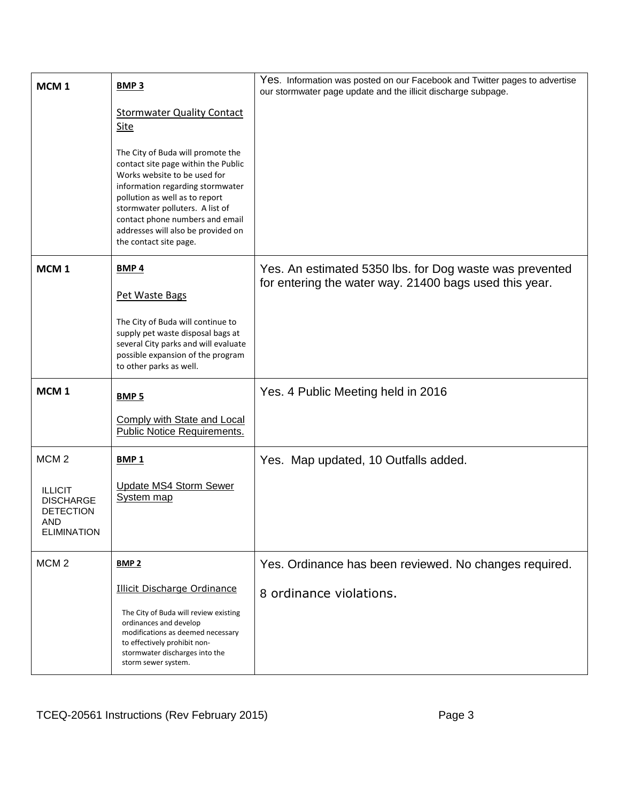| MCM <sub>1</sub>                                                                    | <b>BMP3</b>                                                                                                                                                                                                                                                                                                          | Yes. Information was posted on our Facebook and Twitter pages to advertise<br>our stormwater page update and the illicit discharge subpage. |
|-------------------------------------------------------------------------------------|----------------------------------------------------------------------------------------------------------------------------------------------------------------------------------------------------------------------------------------------------------------------------------------------------------------------|---------------------------------------------------------------------------------------------------------------------------------------------|
|                                                                                     | <b>Stormwater Quality Contact</b><br>Site                                                                                                                                                                                                                                                                            |                                                                                                                                             |
|                                                                                     | The City of Buda will promote the<br>contact site page within the Public<br>Works website to be used for<br>information regarding stormwater<br>pollution as well as to report<br>stormwater polluters. A list of<br>contact phone numbers and email<br>addresses will also be provided on<br>the contact site page. |                                                                                                                                             |
| MCM <sub>1</sub>                                                                    | <b>BMP4</b>                                                                                                                                                                                                                                                                                                          | Yes. An estimated 5350 lbs. for Dog waste was prevented<br>for entering the water way. 21400 bags used this year.                           |
|                                                                                     | Pet Waste Bags                                                                                                                                                                                                                                                                                                       |                                                                                                                                             |
|                                                                                     | The City of Buda will continue to<br>supply pet waste disposal bags at<br>several City parks and will evaluate<br>possible expansion of the program<br>to other parks as well.                                                                                                                                       |                                                                                                                                             |
| MCM <sub>1</sub>                                                                    | <b>BMP 5</b>                                                                                                                                                                                                                                                                                                         | Yes. 4 Public Meeting held in 2016                                                                                                          |
|                                                                                     | <b>Comply with State and Local</b><br><b>Public Notice Requirements.</b>                                                                                                                                                                                                                                             |                                                                                                                                             |
| MCM <sub>2</sub>                                                                    | <b>BMP1</b>                                                                                                                                                                                                                                                                                                          | Yes. Map updated, 10 Outfalls added.                                                                                                        |
| <b>ILLICIT</b><br><b>DISCHARGE</b><br><b>DETECTION</b><br>AND<br><b>ELIMINATION</b> | <b>Update MS4 Storm Sewer</b><br>System map                                                                                                                                                                                                                                                                          |                                                                                                                                             |
| MCM <sub>2</sub>                                                                    | <b>BMP 2</b>                                                                                                                                                                                                                                                                                                         | Yes. Ordinance has been reviewed. No changes required.                                                                                      |
|                                                                                     | <b>Illicit Discharge Ordinance</b>                                                                                                                                                                                                                                                                                   | 8 ordinance violations.                                                                                                                     |
|                                                                                     | The City of Buda will review existing<br>ordinances and develop<br>modifications as deemed necessary<br>to effectively prohibit non-<br>stormwater discharges into the<br>storm sewer system.                                                                                                                        |                                                                                                                                             |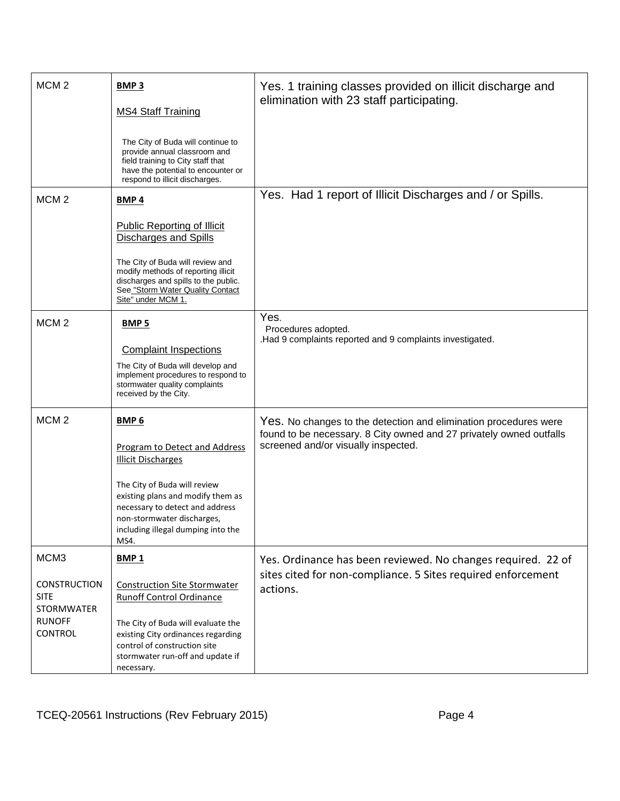| MCM <sub>2</sub>                                                                                   | <b>BMP3</b><br><b>MS4 Staff Training</b><br>The City of Buda will continue to<br>provide annual classroom and<br>field training to City staff that<br>have the potential to encounter or<br>respond to illicit discharges.                                     | Yes. 1 training classes provided on illicit discharge and<br>elimination with 23 staff participating.                                                                          |
|----------------------------------------------------------------------------------------------------|----------------------------------------------------------------------------------------------------------------------------------------------------------------------------------------------------------------------------------------------------------------|--------------------------------------------------------------------------------------------------------------------------------------------------------------------------------|
| MCM <sub>2</sub>                                                                                   | <b>BMP4</b><br><b>Public Reporting of Illicit</b><br><b>Discharges and Spills</b><br>The City of Buda will review and<br>modify methods of reporting illicit<br>discharges and spills to the public.<br>See "Storm Water Quality Contact<br>Site" under MCM 1. | Yes. Had 1 report of Illicit Discharges and / or Spills.                                                                                                                       |
| MCM <sub>2</sub>                                                                                   | <b>BMP 5</b><br><b>Complaint Inspections</b><br>The City of Buda will develop and<br>implement procedures to respond to<br>stormwater quality complaints<br>received by the City.                                                                              | Yes.<br>Procedures adopted.<br>.Had 9 complaints reported and 9 complaints investigated.                                                                                       |
| MCM <sub>2</sub>                                                                                   | <b>BMP 6</b><br>Program to Detect and Address<br><b>Illicit Discharges</b><br>The City of Buda will review<br>existing plans and modify them as<br>necessary to detect and address<br>non-stormwater discharges,<br>including illegal dumping into the<br>MS4. | Yes. No changes to the detection and elimination procedures were<br>found to be necessary. 8 City owned and 27 privately owned outfalls<br>screened and/or visually inspected. |
| MCM3<br><b>CONSTRUCTION</b><br><b>SITE</b><br><b>STORMWATER</b><br><b>RUNOFF</b><br><b>CONTROL</b> | <b>BMP1</b><br><b>Construction Site Stormwater</b><br><b>Runoff Control Ordinance</b><br>The City of Buda will evaluate the<br>existing City ordinances regarding<br>control of construction site<br>stormwater run-off and update if<br>necessary.            | Yes. Ordinance has been reviewed. No changes required. 22 of<br>sites cited for non-compliance. 5 Sites required enforcement<br>actions.                                       |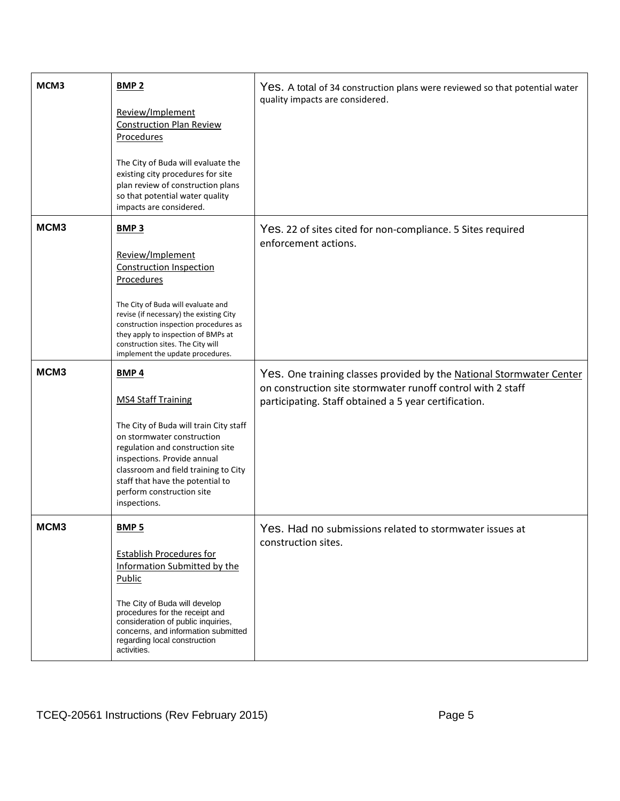| MCM3 | <b>BMP 2</b><br>Review/Implement<br><b>Construction Plan Review</b><br>Procedures<br>The City of Buda will evaluate the<br>existing city procedures for site<br>plan review of construction plans<br>so that potential water quality<br>impacts are considered.                                                                       | Yes. A total of 34 construction plans were reviewed so that potential water<br>quality impacts are considered.                                                                               |
|------|---------------------------------------------------------------------------------------------------------------------------------------------------------------------------------------------------------------------------------------------------------------------------------------------------------------------------------------|----------------------------------------------------------------------------------------------------------------------------------------------------------------------------------------------|
| MCM3 | BMP <sub>3</sub><br>Review/Implement<br><b>Construction Inspection</b><br><b>Procedures</b><br>The City of Buda will evaluate and<br>revise (if necessary) the existing City<br>construction inspection procedures as<br>they apply to inspection of BMPs at<br>construction sites. The City will<br>implement the update procedures. | Yes. 22 of sites cited for non-compliance. 5 Sites required<br>enforcement actions.                                                                                                          |
| MCM3 | <b>BMP4</b><br><b>MS4 Staff Training</b><br>The City of Buda will train City staff<br>on stormwater construction<br>regulation and construction site<br>inspections. Provide annual<br>classroom and field training to City<br>staff that have the potential to<br>perform construction site<br>inspections.                          | Yes. One training classes provided by the National Stormwater Center<br>on construction site stormwater runoff control with 2 staff<br>participating. Staff obtained a 5 year certification. |
| MCM3 | <b>BMP5</b><br><b>Establish Procedures for</b><br>Information Submitted by the<br>Public<br>The City of Buda will develop<br>procedures for the receipt and<br>consideration of public inquiries,<br>concerns, and information submitted<br>regarding local construction<br>activities.                                               | Yes. Had no submissions related to stormwater issues at<br>construction sites.                                                                                                               |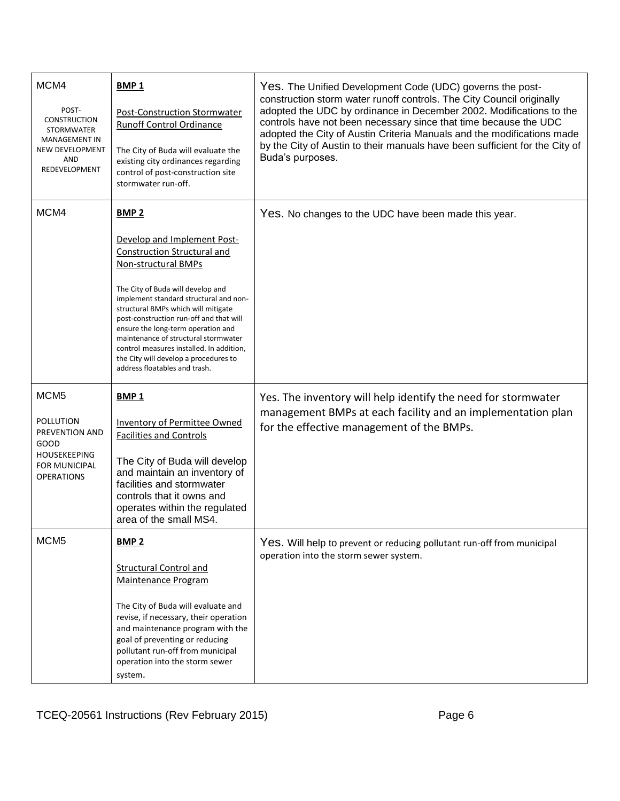| MCM4<br>POST-<br><b>CONSTRUCTION</b><br>STORMWATER<br><b>MANAGEMENT IN</b><br>NEW DEVELOPMENT<br>AND<br>REDEVELOPMENT       | <b>BMP1</b><br><b>Post-Construction Stormwater</b><br><b>Runoff Control Ordinance</b><br>The City of Buda will evaluate the<br>existing city ordinances regarding<br>control of post-construction site<br>stormwater run-off.                                                                                                                                                                                                                                                 | Yes. The Unified Development Code (UDC) governs the post-<br>construction storm water runoff controls. The City Council originally<br>adopted the UDC by ordinance in December 2002. Modifications to the<br>controls have not been necessary since that time because the UDC<br>adopted the City of Austin Criteria Manuals and the modifications made<br>by the City of Austin to their manuals have been sufficient for the City of<br>Buda's purposes. |  |  |  |  |  |
|-----------------------------------------------------------------------------------------------------------------------------|-------------------------------------------------------------------------------------------------------------------------------------------------------------------------------------------------------------------------------------------------------------------------------------------------------------------------------------------------------------------------------------------------------------------------------------------------------------------------------|------------------------------------------------------------------------------------------------------------------------------------------------------------------------------------------------------------------------------------------------------------------------------------------------------------------------------------------------------------------------------------------------------------------------------------------------------------|--|--|--|--|--|
| MCM4                                                                                                                        | <b>BMP 2</b><br>Develop and Implement Post-<br><b>Construction Structural and</b><br>Non-structural BMPs<br>The City of Buda will develop and<br>implement standard structural and non-<br>structural BMPs which will mitigate<br>post-construction run-off and that will<br>ensure the long-term operation and<br>maintenance of structural stormwater<br>control measures installed. In addition,<br>the City will develop a procedures to<br>address floatables and trash. | Yes. No changes to the UDC have been made this year.                                                                                                                                                                                                                                                                                                                                                                                                       |  |  |  |  |  |
| MCM <sub>5</sub><br>POLLUTION<br>PREVENTION AND<br>GOOD<br><b>HOUSEKEEPING</b><br><b>FOR MUNICIPAL</b><br><b>OPERATIONS</b> | <b>BMP1</b><br>Inventory of Permittee Owned<br><b>Facilities and Controls</b><br>The City of Buda will develop<br>and maintain an inventory of<br>facilities and stormwater<br>controls that it owns and<br>operates within the regulated<br>area of the small MS4.                                                                                                                                                                                                           | Yes. The inventory will help identify the need for stormwater<br>management BMPs at each facility and an implementation plan<br>for the effective management of the BMPs.                                                                                                                                                                                                                                                                                  |  |  |  |  |  |
| MCM <sub>5</sub>                                                                                                            | <b>BMP 2</b><br><b>Structural Control and</b><br>Maintenance Program<br>The City of Buda will evaluate and<br>revise, if necessary, their operation<br>and maintenance program with the<br>goal of preventing or reducing<br>pollutant run-off from municipal<br>operation into the storm sewer<br>system.                                                                                                                                                                    | Yes. Will help to prevent or reducing pollutant run-off from municipal<br>operation into the storm sewer system.                                                                                                                                                                                                                                                                                                                                           |  |  |  |  |  |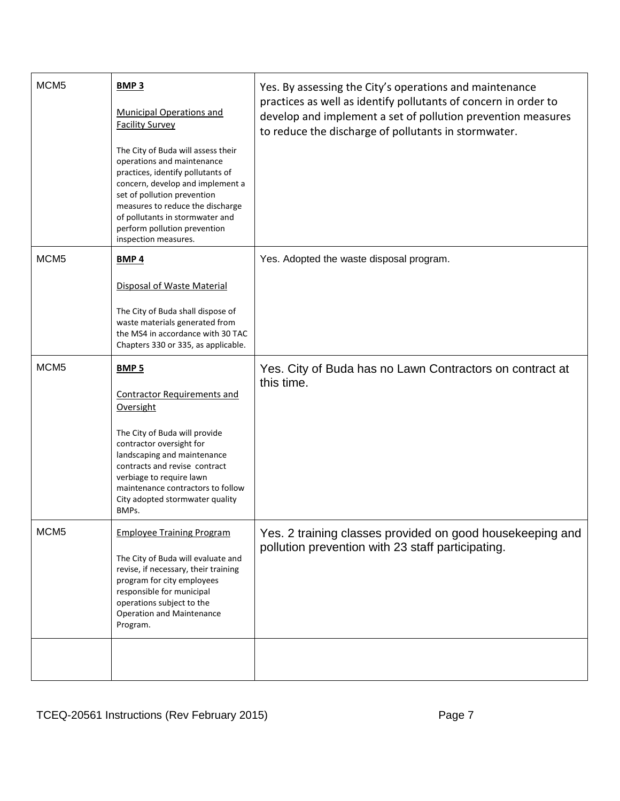| MCM <sub>5</sub> | <b>BMP3</b><br>Municipal Operations and<br><b>Facility Survey</b><br>The City of Buda will assess their<br>operations and maintenance                                                                                                                  | Yes. By assessing the City's operations and maintenance<br>practices as well as identify pollutants of concern in order to<br>develop and implement a set of pollution prevention measures<br>to reduce the discharge of pollutants in stormwater. |  |  |
|------------------|--------------------------------------------------------------------------------------------------------------------------------------------------------------------------------------------------------------------------------------------------------|----------------------------------------------------------------------------------------------------------------------------------------------------------------------------------------------------------------------------------------------------|--|--|
|                  | practices, identify pollutants of<br>concern, develop and implement a<br>set of pollution prevention<br>measures to reduce the discharge<br>of pollutants in stormwater and<br>perform pollution prevention<br>inspection measures.                    |                                                                                                                                                                                                                                                    |  |  |
| MCM <sub>5</sub> | <b>BMP4</b>                                                                                                                                                                                                                                            | Yes. Adopted the waste disposal program.                                                                                                                                                                                                           |  |  |
|                  | Disposal of Waste Material                                                                                                                                                                                                                             |                                                                                                                                                                                                                                                    |  |  |
|                  | The City of Buda shall dispose of<br>waste materials generated from<br>the MS4 in accordance with 30 TAC<br>Chapters 330 or 335, as applicable.                                                                                                        |                                                                                                                                                                                                                                                    |  |  |
| MCM <sub>5</sub> | BMP <sub>5</sub><br><b>Contractor Requirements and</b><br>Oversight                                                                                                                                                                                    | Yes. City of Buda has no Lawn Contractors on contract at<br>this time.                                                                                                                                                                             |  |  |
|                  | The City of Buda will provide<br>contractor oversight for<br>landscaping and maintenance<br>contracts and revise contract<br>verbiage to require lawn<br>maintenance contractors to follow<br>City adopted stormwater quality<br>BMPs.                 |                                                                                                                                                                                                                                                    |  |  |
| MCM <sub>5</sub> | <b>Employee Training Program</b><br>The City of Buda will evaluate and<br>revise, if necessary, their training<br>program for city employees<br>responsible for municipal<br>operations subject to the<br><b>Operation and Maintenance</b><br>Program. | Yes. 2 training classes provided on good housekeeping and<br>pollution prevention with 23 staff participating.                                                                                                                                     |  |  |
|                  |                                                                                                                                                                                                                                                        |                                                                                                                                                                                                                                                    |  |  |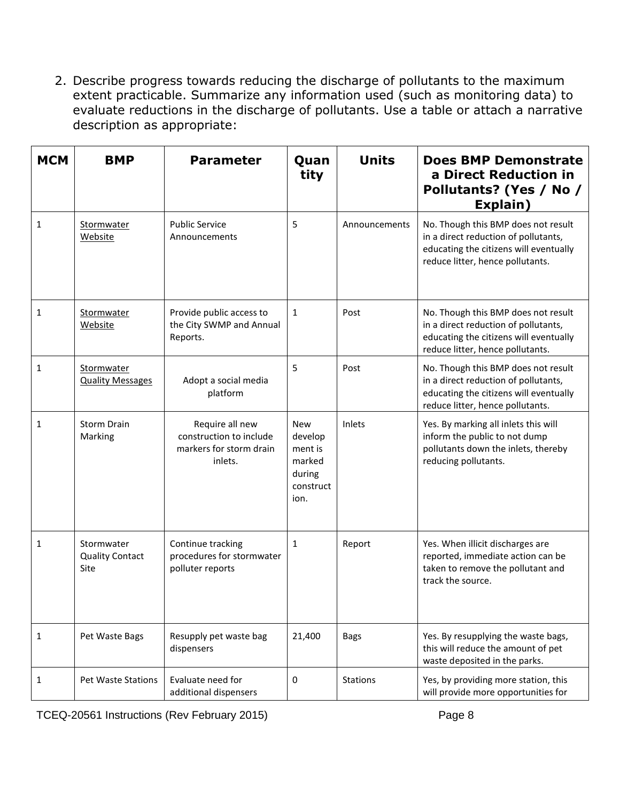2. Describe progress towards reducing the discharge of pollutants to the maximum extent practicable. Summarize any information used (such as monitoring data) to evaluate reductions in the discharge of pollutants. Use a table or attach a narrative description as appropriate:

| <b>MCM</b>   | <b>BMP</b>                                   | <b>Parameter</b>                                                                 | Quan<br>tity                                                              | <b>Units</b>    | <b>Does BMP Demonstrate</b><br>a Direct Reduction in<br>Pollutants? (Yes / No /<br>Explain)                                                               |
|--------------|----------------------------------------------|----------------------------------------------------------------------------------|---------------------------------------------------------------------------|-----------------|-----------------------------------------------------------------------------------------------------------------------------------------------------------|
| $\mathbf{1}$ | Stormwater<br>Website                        | <b>Public Service</b><br>Announcements                                           | 5                                                                         | Announcements   | No. Though this BMP does not result<br>in a direct reduction of pollutants,<br>educating the citizens will eventually<br>reduce litter, hence pollutants. |
| 1            | Stormwater<br>Website                        | Provide public access to<br>the City SWMP and Annual<br>Reports.                 | $\mathbf{1}$                                                              | Post            | No. Though this BMP does not result<br>in a direct reduction of pollutants,<br>educating the citizens will eventually<br>reduce litter, hence pollutants. |
| 1            | Stormwater<br><b>Quality Messages</b>        | Adopt a social media<br>platform                                                 | 5                                                                         | Post            | No. Though this BMP does not result<br>in a direct reduction of pollutants,<br>educating the citizens will eventually<br>reduce litter, hence pollutants. |
| 1            | <b>Storm Drain</b><br>Marking                | Require all new<br>construction to include<br>markers for storm drain<br>inlets. | <b>New</b><br>develop<br>ment is<br>marked<br>during<br>construct<br>ion. | Inlets          | Yes. By marking all inlets this will<br>inform the public to not dump<br>pollutants down the inlets, thereby<br>reducing pollutants.                      |
| 1            | Stormwater<br><b>Quality Contact</b><br>Site | Continue tracking<br>procedures for stormwater<br>polluter reports               | 1                                                                         | Report          | Yes. When illicit discharges are<br>reported, immediate action can be<br>taken to remove the pollutant and<br>track the source.                           |
| 1            | Pet Waste Bags                               | Resupply pet waste bag<br>dispensers                                             | 21,400                                                                    | <b>Bags</b>     | Yes. By resupplying the waste bags,<br>this will reduce the amount of pet<br>waste deposited in the parks.                                                |
| 1            | Pet Waste Stations                           | Evaluate need for<br>additional dispensers                                       | 0                                                                         | <b>Stations</b> | Yes, by providing more station, this<br>will provide more opportunities for                                                                               |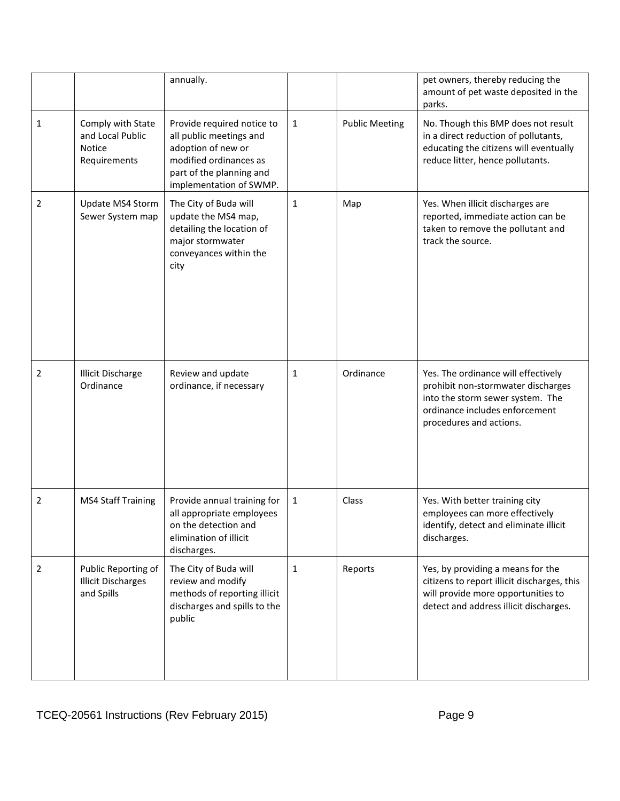|                |                                                                        | annually.                                                                                                                                                    |              |                       | pet owners, thereby reducing the<br>amount of pet waste deposited in the<br>parks.                                                                                         |
|----------------|------------------------------------------------------------------------|--------------------------------------------------------------------------------------------------------------------------------------------------------------|--------------|-----------------------|----------------------------------------------------------------------------------------------------------------------------------------------------------------------------|
| $\mathbf{1}$   | Comply with State<br>and Local Public<br><b>Notice</b><br>Requirements | Provide required notice to<br>all public meetings and<br>adoption of new or<br>modified ordinances as<br>part of the planning and<br>implementation of SWMP. | $\mathbf{1}$ | <b>Public Meeting</b> | No. Though this BMP does not result<br>in a direct reduction of pollutants,<br>educating the citizens will eventually<br>reduce litter, hence pollutants.                  |
| 2              | Update MS4 Storm<br>Sewer System map                                   | The City of Buda will<br>update the MS4 map,<br>detailing the location of<br>major stormwater<br>conveyances within the<br>city                              | $\mathbf{1}$ | Map                   | Yes. When illicit discharges are<br>reported, immediate action can be<br>taken to remove the pollutant and<br>track the source.                                            |
| $\overline{2}$ | <b>Illicit Discharge</b><br>Ordinance                                  | Review and update<br>ordinance, if necessary                                                                                                                 | $\mathbf{1}$ | Ordinance             | Yes. The ordinance will effectively<br>prohibit non-stormwater discharges<br>into the storm sewer system. The<br>ordinance includes enforcement<br>procedures and actions. |
| $\overline{2}$ | <b>MS4 Staff Training</b>                                              | Provide annual training for<br>all appropriate employees<br>on the detection and<br>elimination of illicit<br>discharges.                                    | $\mathbf{1}$ | Class                 | Yes. With better training city<br>employees can more effectively<br>identify, detect and eliminate illicit<br>discharges.                                                  |
| 2              | Public Reporting of<br><b>Illicit Discharges</b><br>and Spills         | The City of Buda will<br>review and modify<br>methods of reporting illicit<br>discharges and spills to the<br>public                                         | $\mathbf{1}$ | Reports               | Yes, by providing a means for the<br>citizens to report illicit discharges, this<br>will provide more opportunities to<br>detect and address illicit discharges.           |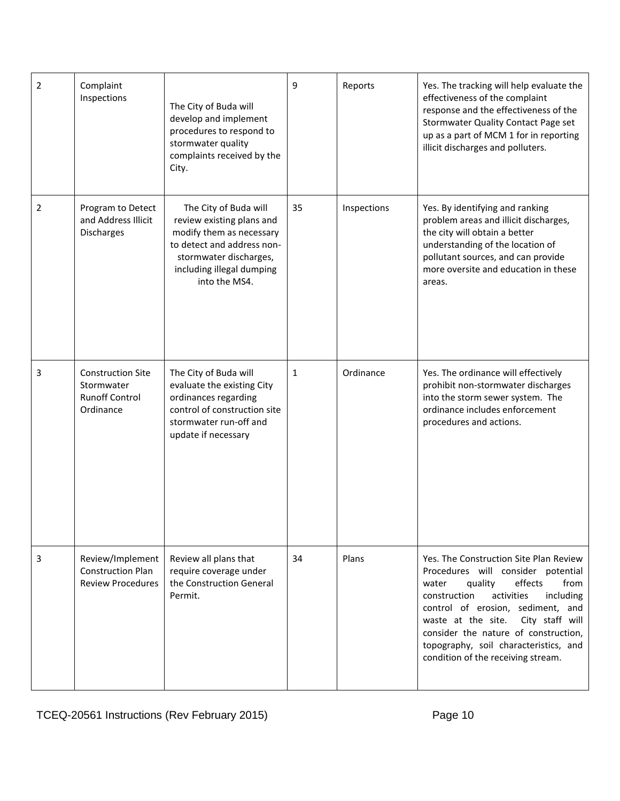| $\overline{2}$ | Complaint<br>Inspections                                                     | The City of Buda will<br>develop and implement<br>procedures to respond to<br>stormwater quality<br>complaints received by the<br>City.                                              | 9  | Reports     | Yes. The tracking will help evaluate the<br>effectiveness of the complaint<br>response and the effectiveness of the<br>Stormwater Quality Contact Page set<br>up as a part of MCM 1 for in reporting<br>illicit discharges and polluters.                                                                                                                           |
|----------------|------------------------------------------------------------------------------|--------------------------------------------------------------------------------------------------------------------------------------------------------------------------------------|----|-------------|---------------------------------------------------------------------------------------------------------------------------------------------------------------------------------------------------------------------------------------------------------------------------------------------------------------------------------------------------------------------|
| 2              | Program to Detect<br>and Address Illicit<br>Discharges                       | The City of Buda will<br>review existing plans and<br>modify them as necessary<br>to detect and address non-<br>stormwater discharges,<br>including illegal dumping<br>into the MS4. | 35 | Inspections | Yes. By identifying and ranking<br>problem areas and illicit discharges,<br>the city will obtain a better<br>understanding of the location of<br>pollutant sources, and can provide<br>more oversite and education in these<br>areas.                                                                                                                               |
| 3              | <b>Construction Site</b><br>Stormwater<br><b>Runoff Control</b><br>Ordinance | The City of Buda will<br>evaluate the existing City<br>ordinances regarding<br>control of construction site<br>stormwater run-off and<br>update if necessary                         | 1  | Ordinance   | Yes. The ordinance will effectively<br>prohibit non-stormwater discharges<br>into the storm sewer system. The<br>ordinance includes enforcement<br>procedures and actions.                                                                                                                                                                                          |
| 3              | Review/Implement<br><b>Construction Plan</b><br><b>Review Procedures</b>     | Review all plans that<br>require coverage under<br>the Construction General<br>Permit.                                                                                               | 34 | Plans       | Yes. The Construction Site Plan Review<br>Procedures will consider potential<br>effects<br>quality<br>from<br>water<br>activities<br>construction<br>including<br>control of erosion, sediment, and<br>waste at the site.<br>City staff will<br>consider the nature of construction,<br>topography, soil characteristics, and<br>condition of the receiving stream. |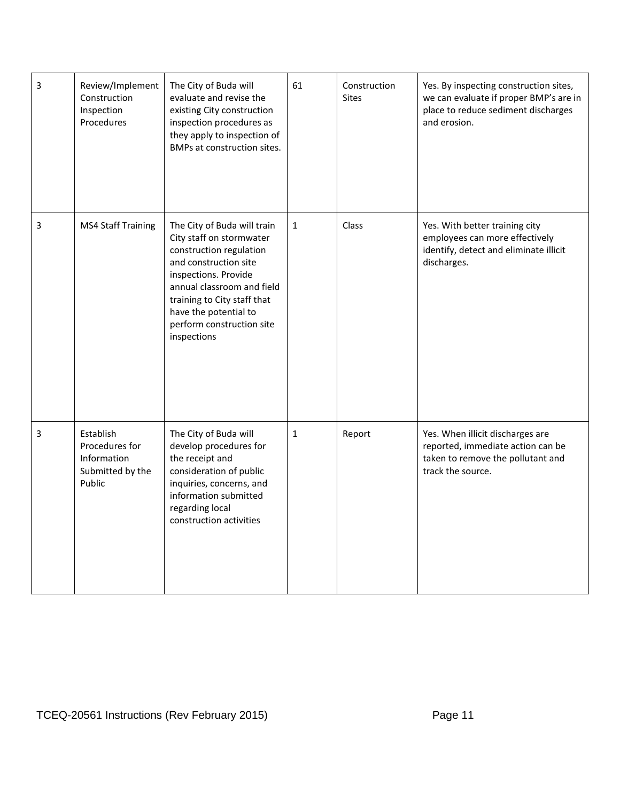| 3 | Review/Implement<br>Construction<br>Inspection<br>Procedures             | The City of Buda will<br>evaluate and revise the<br>existing City construction<br>inspection procedures as<br>they apply to inspection of<br>BMPs at construction sites.                                                                                              | 61           | Construction<br>Sites | Yes. By inspecting construction sites,<br>we can evaluate if proper BMP's are in<br>place to reduce sediment discharges<br>and erosion. |
|---|--------------------------------------------------------------------------|-----------------------------------------------------------------------------------------------------------------------------------------------------------------------------------------------------------------------------------------------------------------------|--------------|-----------------------|-----------------------------------------------------------------------------------------------------------------------------------------|
| 3 | <b>MS4 Staff Training</b>                                                | The City of Buda will train<br>City staff on stormwater<br>construction regulation<br>and construction site<br>inspections. Provide<br>annual classroom and field<br>training to City staff that<br>have the potential to<br>perform construction site<br>inspections | $\mathbf{1}$ | Class                 | Yes. With better training city<br>employees can more effectively<br>identify, detect and eliminate illicit<br>discharges.               |
| 3 | Establish<br>Procedures for<br>Information<br>Submitted by the<br>Public | The City of Buda will<br>develop procedures for<br>the receipt and<br>consideration of public<br>inquiries, concerns, and<br>information submitted<br>regarding local<br>construction activities                                                                      | $\mathbf{1}$ | Report                | Yes. When illicit discharges are<br>reported, immediate action can be<br>taken to remove the pollutant and<br>track the source.         |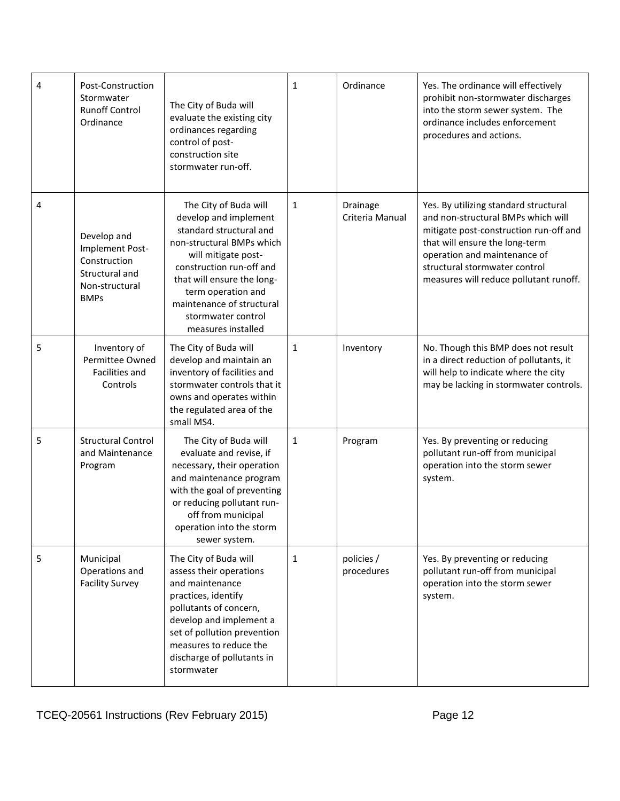| 4 | Post-Construction<br>Stormwater<br><b>Runoff Control</b><br>Ordinance                             | The City of Buda will<br>evaluate the existing city<br>ordinances regarding<br>control of post-<br>construction site<br>stormwater run-off.                                                                                                                                            | $\mathbf{1}$ | Ordinance                   | Yes. The ordinance will effectively<br>prohibit non-stormwater discharges<br>into the storm sewer system. The<br>ordinance includes enforcement<br>procedures and actions.                                                                                         |
|---|---------------------------------------------------------------------------------------------------|----------------------------------------------------------------------------------------------------------------------------------------------------------------------------------------------------------------------------------------------------------------------------------------|--------------|-----------------------------|--------------------------------------------------------------------------------------------------------------------------------------------------------------------------------------------------------------------------------------------------------------------|
| 4 | Develop and<br>Implement Post-<br>Construction<br>Structural and<br>Non-structural<br><b>BMPs</b> | The City of Buda will<br>develop and implement<br>standard structural and<br>non-structural BMPs which<br>will mitigate post-<br>construction run-off and<br>that will ensure the long-<br>term operation and<br>maintenance of structural<br>stormwater control<br>measures installed | 1            | Drainage<br>Criteria Manual | Yes. By utilizing standard structural<br>and non-structural BMPs which will<br>mitigate post-construction run-off and<br>that will ensure the long-term<br>operation and maintenance of<br>structural stormwater control<br>measures will reduce pollutant runoff. |
| 5 | Inventory of<br>Permittee Owned<br><b>Facilities and</b><br>Controls                              | The City of Buda will<br>develop and maintain an<br>inventory of facilities and<br>stormwater controls that it<br>owns and operates within<br>the regulated area of the<br>small MS4.                                                                                                  | $\mathbf{1}$ | Inventory                   | No. Though this BMP does not result<br>in a direct reduction of pollutants, it<br>will help to indicate where the city<br>may be lacking in stormwater controls.                                                                                                   |
| 5 | <b>Structural Control</b><br>and Maintenance<br>Program                                           | The City of Buda will<br>evaluate and revise, if<br>necessary, their operation<br>and maintenance program<br>with the goal of preventing<br>or reducing pollutant run-<br>off from municipal<br>operation into the storm<br>sewer system.                                              | 1            | Program                     | Yes. By preventing or reducing<br>pollutant run-off from municipal<br>operation into the storm sewer<br>system.                                                                                                                                                    |
| 5 | Municipal<br>Operations and<br><b>Facility Survey</b>                                             | The City of Buda will<br>assess their operations<br>and maintenance<br>practices, identify<br>pollutants of concern,<br>develop and implement a<br>set of pollution prevention<br>measures to reduce the<br>discharge of pollutants in<br>stormwater                                   | 1            | policies /<br>procedures    | Yes. By preventing or reducing<br>pollutant run-off from municipal<br>operation into the storm sewer<br>system.                                                                                                                                                    |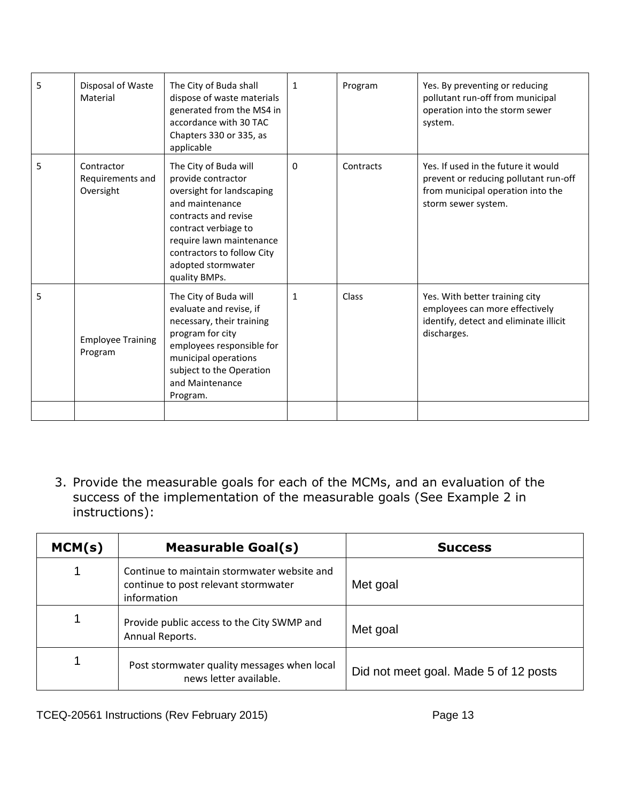| 5 | Disposal of Waste<br>Material               | The City of Buda shall<br>dispose of waste materials<br>generated from the MS4 in<br>accordance with 30 TAC<br>Chapters 330 or 335, as<br>applicable                                                                                         | $\mathbf{1}$ | Program   | Yes. By preventing or reducing<br>pollutant run-off from municipal<br>operation into the storm sewer<br>system.                          |
|---|---------------------------------------------|----------------------------------------------------------------------------------------------------------------------------------------------------------------------------------------------------------------------------------------------|--------------|-----------|------------------------------------------------------------------------------------------------------------------------------------------|
| 5 | Contractor<br>Requirements and<br>Oversight | The City of Buda will<br>provide contractor<br>oversight for landscaping<br>and maintenance<br>contracts and revise<br>contract verbiage to<br>require lawn maintenance<br>contractors to follow City<br>adopted stormwater<br>quality BMPs. | 0            | Contracts | Yes. If used in the future it would<br>prevent or reducing pollutant run-off<br>from municipal operation into the<br>storm sewer system. |
| 5 | <b>Employee Training</b><br>Program         | The City of Buda will<br>evaluate and revise, if<br>necessary, their training<br>program for city<br>employees responsible for<br>municipal operations<br>subject to the Operation<br>and Maintenance<br>Program.                            | 1            | Class     | Yes. With better training city<br>employees can more effectively<br>identify, detect and eliminate illicit<br>discharges.                |
|   |                                             |                                                                                                                                                                                                                                              |              |           |                                                                                                                                          |

3. Provide the measurable goals for each of the MCMs, and an evaluation of the success of the implementation of the measurable goals (See Example 2 in instructions):

| MCM(s) | <b>Measurable Goal(s)</b>                                                                          | <b>Success</b>                        |
|--------|----------------------------------------------------------------------------------------------------|---------------------------------------|
|        | Continue to maintain stormwater website and<br>continue to post relevant stormwater<br>information | Met goal                              |
|        | Provide public access to the City SWMP and<br>Annual Reports.                                      | Met goal                              |
|        | Post stormwater quality messages when local<br>news letter available.                              | Did not meet goal. Made 5 of 12 posts |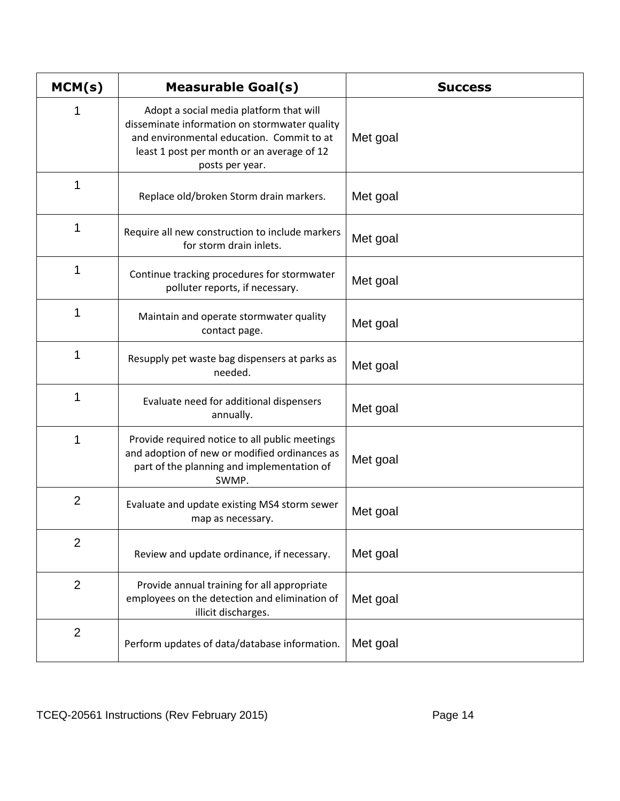| MCM(s)         | <b>Measurable Goal(s)</b>                                                                                                                                                                              | <b>Success</b> |
|----------------|--------------------------------------------------------------------------------------------------------------------------------------------------------------------------------------------------------|----------------|
| 1              | Adopt a social media platform that will<br>disseminate information on stormwater quality<br>and environmental education. Commit to at<br>least 1 post per month or an average of 12<br>posts per year. | Met goal       |
| 1              | Replace old/broken Storm drain markers.                                                                                                                                                                | Met goal       |
| 1              | Require all new construction to include markers<br>for storm drain inlets.                                                                                                                             | Met goal       |
| 1              | Continue tracking procedures for stormwater<br>polluter reports, if necessary.                                                                                                                         | Met goal       |
| 1              | Maintain and operate stormwater quality<br>contact page.                                                                                                                                               | Met goal       |
| 1              | Resupply pet waste bag dispensers at parks as<br>needed.                                                                                                                                               | Met goal       |
| 1              | Evaluate need for additional dispensers<br>annually.                                                                                                                                                   | Met goal       |
| 1              | Provide required notice to all public meetings<br>and adoption of new or modified ordinances as<br>part of the planning and implementation of<br>SWMP.                                                 | Met goal       |
| $\overline{2}$ | Evaluate and update existing MS4 storm sewer<br>map as necessary.                                                                                                                                      | Met goal       |
| $\overline{2}$ | Review and update ordinance, if necessary.                                                                                                                                                             | Met goal       |
| $\overline{2}$ | Provide annual training for all appropriate<br>employees on the detection and elimination of<br>illicit discharges.                                                                                    | Met goal       |
| $\overline{2}$ | Perform updates of data/database information.                                                                                                                                                          | Met goal       |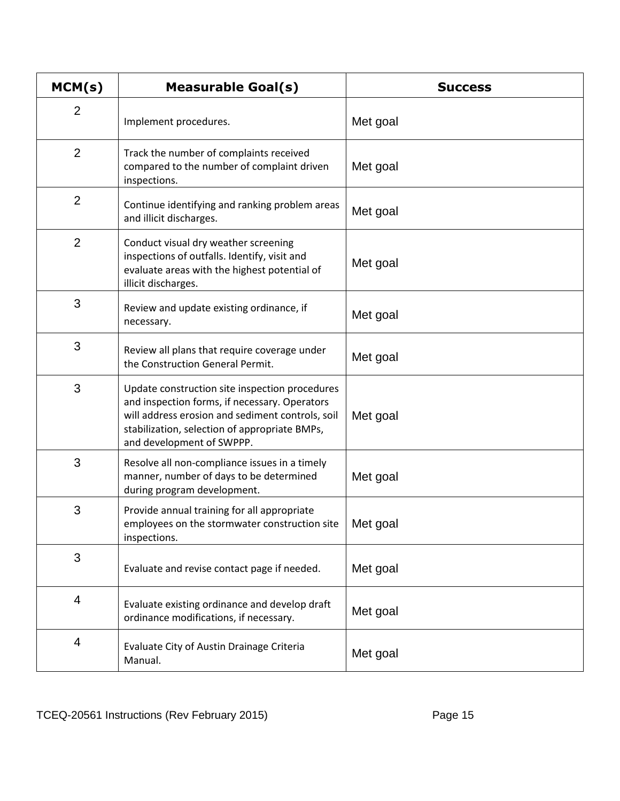| MCM(s)         | <b>Measurable Goal(s)</b>                                                                                                                                                                                                         | <b>Success</b> |
|----------------|-----------------------------------------------------------------------------------------------------------------------------------------------------------------------------------------------------------------------------------|----------------|
| $\overline{2}$ | Implement procedures.                                                                                                                                                                                                             | Met goal       |
| $\overline{2}$ | Track the number of complaints received<br>compared to the number of complaint driven<br>inspections.                                                                                                                             | Met goal       |
| $\overline{2}$ | Continue identifying and ranking problem areas<br>and illicit discharges.                                                                                                                                                         | Met goal       |
| $\overline{2}$ | Conduct visual dry weather screening<br>inspections of outfalls. Identify, visit and<br>evaluate areas with the highest potential of<br>illicit discharges.                                                                       | Met goal       |
| 3              | Review and update existing ordinance, if<br>necessary.                                                                                                                                                                            | Met goal       |
| 3              | Review all plans that require coverage under<br>the Construction General Permit.                                                                                                                                                  | Met goal       |
| 3              | Update construction site inspection procedures<br>and inspection forms, if necessary. Operators<br>will address erosion and sediment controls, soil<br>stabilization, selection of appropriate BMPs,<br>and development of SWPPP. | Met goal       |
| 3              | Resolve all non-compliance issues in a timely<br>manner, number of days to be determined<br>during program development.                                                                                                           | Met goal       |
| 3              | Provide annual training for all appropriate<br>employees on the stormwater construction site<br>inspections.                                                                                                                      | Met goal       |
| 3              | Evaluate and revise contact page if needed.                                                                                                                                                                                       | Met goal       |
| 4              | Evaluate existing ordinance and develop draft<br>ordinance modifications, if necessary.                                                                                                                                           | Met goal       |
| 4              | Evaluate City of Austin Drainage Criteria<br>Manual.                                                                                                                                                                              | Met goal       |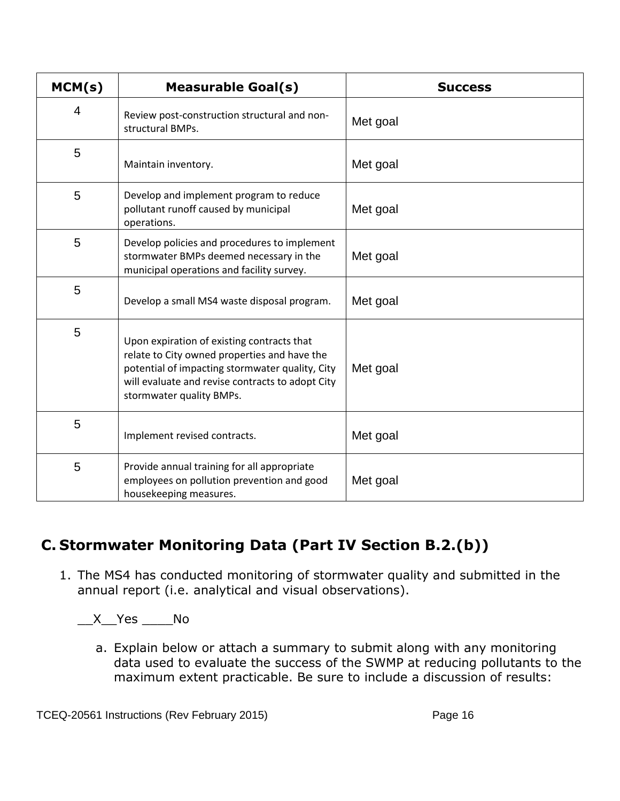| MCM(s) | <b>Measurable Goal(s)</b>                                                                                                                                                                                                     | <b>Success</b> |
|--------|-------------------------------------------------------------------------------------------------------------------------------------------------------------------------------------------------------------------------------|----------------|
| 4      | Review post-construction structural and non-<br>structural BMPs.                                                                                                                                                              | Met goal       |
| 5      | Maintain inventory.                                                                                                                                                                                                           | Met goal       |
| 5      | Develop and implement program to reduce<br>pollutant runoff caused by municipal<br>operations.                                                                                                                                | Met goal       |
| 5      | Develop policies and procedures to implement<br>stormwater BMPs deemed necessary in the<br>municipal operations and facility survey.                                                                                          | Met goal       |
| 5      | Develop a small MS4 waste disposal program.                                                                                                                                                                                   | Met goal       |
| 5      | Upon expiration of existing contracts that<br>relate to City owned properties and have the<br>potential of impacting stormwater quality, City<br>will evaluate and revise contracts to adopt City<br>stormwater quality BMPs. | Met goal       |
| 5      | Implement revised contracts.                                                                                                                                                                                                  | Met goal       |
| 5      | Provide annual training for all appropriate<br>employees on pollution prevention and good<br>housekeeping measures.                                                                                                           | Met goal       |

# **C. Stormwater Monitoring Data (Part IV Section B.2.(b))**

1. The MS4 has conducted monitoring of stormwater quality and submitted in the annual report (i.e. analytical and visual observations).

 $X$  Yes No

a. Explain below or attach a summary to submit along with any monitoring data used to evaluate the success of the SWMP at reducing pollutants to the maximum extent practicable. Be sure to include a discussion of results: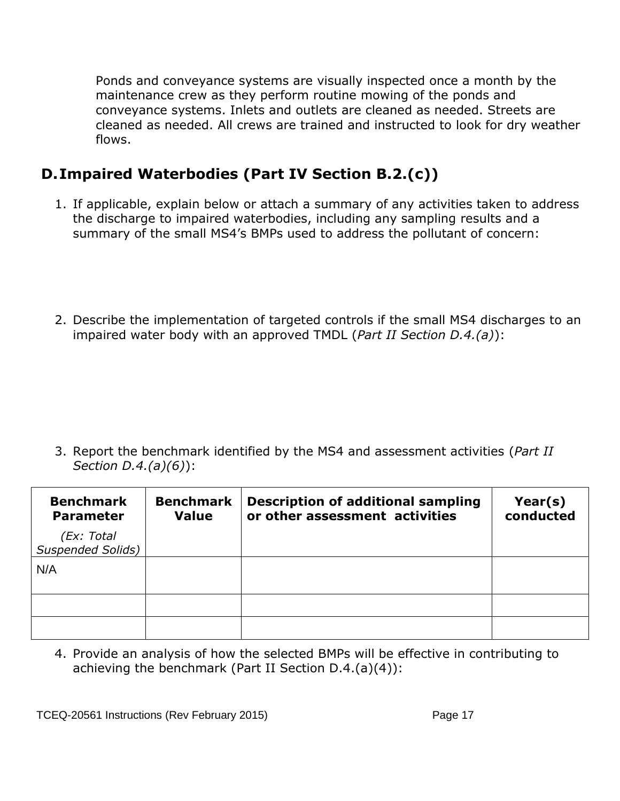Ponds and conveyance systems are visually inspected once a month by the maintenance crew as they perform routine mowing of the ponds and conveyance systems. Inlets and outlets are cleaned as needed. Streets are cleaned as needed. All crews are trained and instructed to look for dry weather flows.

# **D.Impaired Waterbodies (Part IV Section B.2.(c))**

- 1. If applicable, explain below or attach a summary of any activities taken to address the discharge to impaired waterbodies, including any sampling results and a summary of the small MS4's BMPs used to address the pollutant of concern:
- 2. Describe the implementation of targeted controls if the small MS4 discharges to an impaired water body with an approved TMDL (*Part II Section D.4.(a)*):

3. Report the benchmark identified by the MS4 and assessment activities (*Part II Section D.4.(a)(6)*):

| <b>Benchmark</b><br><b>Parameter</b> | <b>Benchmark</b><br><b>Value</b> | <b>Description of additional sampling</b><br>or other assessment activities | Year(s)<br>conducted |
|--------------------------------------|----------------------------------|-----------------------------------------------------------------------------|----------------------|
| (Ex: Total<br>Suspended Solids)      |                                  |                                                                             |                      |
| N/A                                  |                                  |                                                                             |                      |
|                                      |                                  |                                                                             |                      |
|                                      |                                  |                                                                             |                      |

4. Provide an analysis of how the selected BMPs will be effective in contributing to achieving the benchmark (Part II Section D.4.(a)(4)):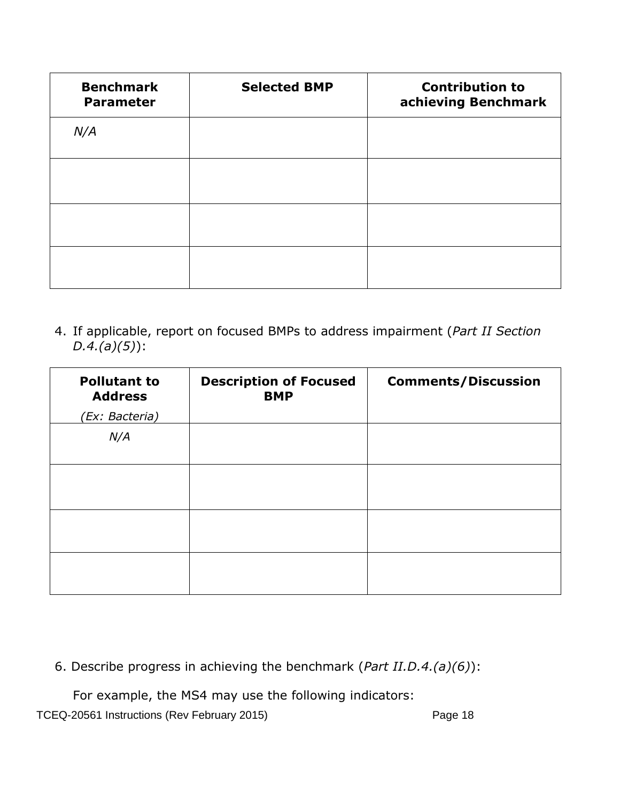| <b>Benchmark</b><br><b>Parameter</b> | <b>Selected BMP</b> | <b>Contribution to</b><br>achieving Benchmark |
|--------------------------------------|---------------------|-----------------------------------------------|
| N/A                                  |                     |                                               |
|                                      |                     |                                               |
|                                      |                     |                                               |
|                                      |                     |                                               |

4. If applicable, report on focused BMPs to address impairment (*Part II Section D.4.(a)(5)*):

| <b>Pollutant to</b><br><b>Address</b> | <b>Description of Focused</b><br><b>BMP</b> | <b>Comments/Discussion</b> |
|---------------------------------------|---------------------------------------------|----------------------------|
| (Ex: Bacteria)                        |                                             |                            |
| N/A                                   |                                             |                            |
|                                       |                                             |                            |
|                                       |                                             |                            |
|                                       |                                             |                            |

6. Describe progress in achieving the benchmark (*Part II.D.4.(a)(6)*):

For example, the MS4 may use the following indicators: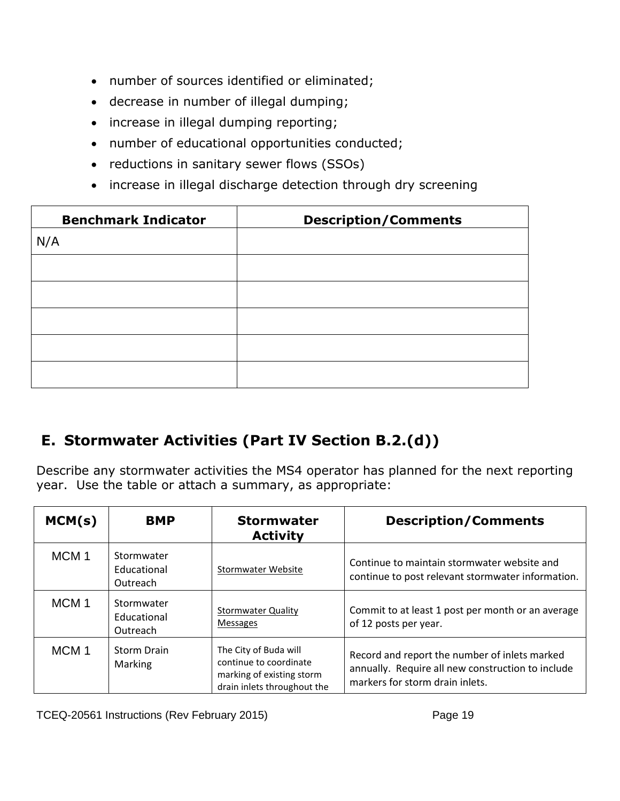- number of sources identified or eliminated;
- decrease in number of illegal dumping;
- increase in illegal dumping reporting;
- number of educational opportunities conducted;
- reductions in sanitary sewer flows (SSOs)
- increase in illegal discharge detection through dry screening

| <b>Benchmark Indicator</b> | <b>Description/Comments</b> |
|----------------------------|-----------------------------|
| N/A                        |                             |
|                            |                             |
|                            |                             |
|                            |                             |
|                            |                             |
|                            |                             |
|                            |                             |

# **E. Stormwater Activities (Part IV Section B.2.(d))**

Describe any stormwater activities the MS4 operator has planned for the next reporting year. Use the table or attach a summary, as appropriate:

| MCM(s)           | <b>BMP</b>                            | <b>Stormwater</b><br><b>Activity</b>                                                                        | <b>Description/Comments</b>                                                                                                           |
|------------------|---------------------------------------|-------------------------------------------------------------------------------------------------------------|---------------------------------------------------------------------------------------------------------------------------------------|
| MCM <sub>1</sub> | Stormwater<br>Educational<br>Outreach | Stormwater Website                                                                                          | Continue to maintain stormwater website and<br>continue to post relevant stormwater information.                                      |
| MCM <sub>1</sub> | Stormwater<br>Educational<br>Outreach | <b>Stormwater Quality</b><br><b>Messages</b>                                                                | Commit to at least 1 post per month or an average<br>of 12 posts per year.                                                            |
| MCM <sub>1</sub> | <b>Storm Drain</b><br>Marking         | The City of Buda will<br>continue to coordinate<br>marking of existing storm<br>drain inlets throughout the | Record and report the number of inlets marked<br>annually. Require all new construction to include<br>markers for storm drain inlets. |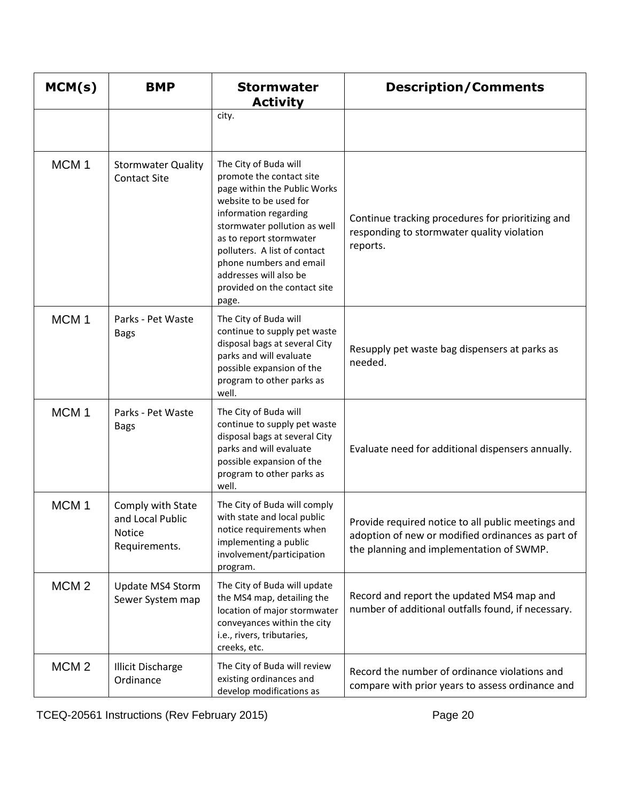| MCM(s)           | <b>BMP</b>                                                       | <b>Stormwater</b><br><b>Activity</b>                                                                                                                                                                                                                                                                                          | <b>Description/Comments</b>                                                                                                                         |
|------------------|------------------------------------------------------------------|-------------------------------------------------------------------------------------------------------------------------------------------------------------------------------------------------------------------------------------------------------------------------------------------------------------------------------|-----------------------------------------------------------------------------------------------------------------------------------------------------|
|                  |                                                                  | city.                                                                                                                                                                                                                                                                                                                         |                                                                                                                                                     |
| MCM <sub>1</sub> | <b>Stormwater Quality</b><br><b>Contact Site</b>                 | The City of Buda will<br>promote the contact site<br>page within the Public Works<br>website to be used for<br>information regarding<br>stormwater pollution as well<br>as to report stormwater<br>polluters. A list of contact<br>phone numbers and email<br>addresses will also be<br>provided on the contact site<br>page. | Continue tracking procedures for prioritizing and<br>responding to stormwater quality violation<br>reports.                                         |
| MCM <sub>1</sub> | Parks - Pet Waste<br><b>Bags</b>                                 | The City of Buda will<br>continue to supply pet waste<br>disposal bags at several City<br>parks and will evaluate<br>possible expansion of the<br>program to other parks as<br>well.                                                                                                                                          | Resupply pet waste bag dispensers at parks as<br>needed.                                                                                            |
| MCM <sub>1</sub> | Parks - Pet Waste<br><b>Bags</b>                                 | The City of Buda will<br>continue to supply pet waste<br>disposal bags at several City<br>parks and will evaluate<br>possible expansion of the<br>program to other parks as<br>well.                                                                                                                                          | Evaluate need for additional dispensers annually.                                                                                                   |
| MCM <sub>1</sub> | Comply with State<br>and Local Public<br>Notice<br>Requirements. | The City of Buda will comply<br>with state and local public<br>notice requirements when<br>implementing a public<br>involvement/participation<br>program.                                                                                                                                                                     | Provide required notice to all public meetings and<br>adoption of new or modified ordinances as part of<br>the planning and implementation of SWMP. |
| MCM <sub>2</sub> | Update MS4 Storm<br>Sewer System map                             | The City of Buda will update<br>the MS4 map, detailing the<br>location of major stormwater<br>conveyances within the city<br>i.e., rivers, tributaries,<br>creeks, etc.                                                                                                                                                       | Record and report the updated MS4 map and<br>number of additional outfalls found, if necessary.                                                     |
| MCM <sub>2</sub> | <b>Illicit Discharge</b><br>Ordinance                            | The City of Buda will review<br>existing ordinances and<br>develop modifications as                                                                                                                                                                                                                                           | Record the number of ordinance violations and<br>compare with prior years to assess ordinance and                                                   |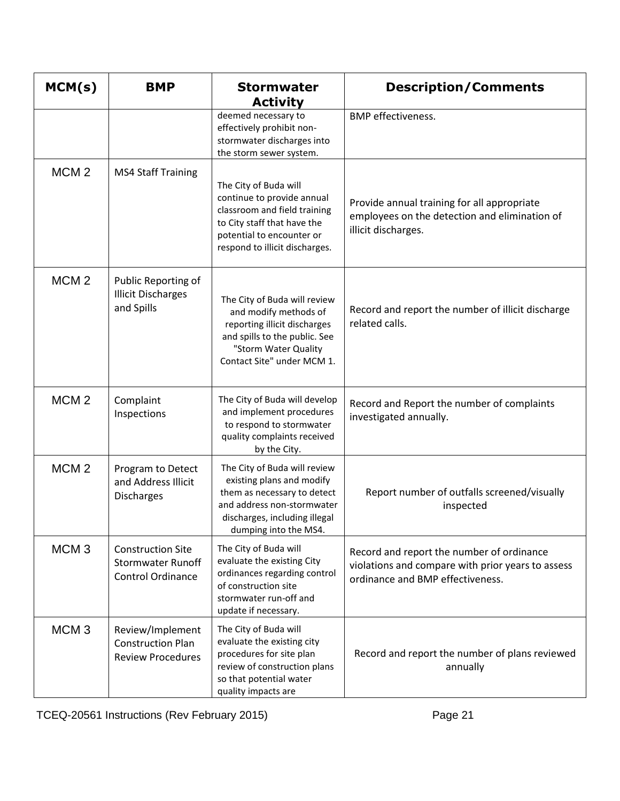| MCM(s)           | <b>BMP</b>                                                                       | <b>Stormwater</b><br><b>Activity</b>                                                                                                                                              | <b>Description/Comments</b>                                                                                                        |
|------------------|----------------------------------------------------------------------------------|-----------------------------------------------------------------------------------------------------------------------------------------------------------------------------------|------------------------------------------------------------------------------------------------------------------------------------|
|                  |                                                                                  | deemed necessary to<br>effectively prohibit non-<br>stormwater discharges into<br>the storm sewer system.                                                                         | <b>BMP</b> effectiveness.                                                                                                          |
| MCM <sub>2</sub> | <b>MS4 Staff Training</b>                                                        | The City of Buda will<br>continue to provide annual<br>classroom and field training<br>to City staff that have the<br>potential to encounter or<br>respond to illicit discharges. | Provide annual training for all appropriate<br>employees on the detection and elimination of<br>illicit discharges.                |
| MCM <sub>2</sub> | Public Reporting of<br><b>Illicit Discharges</b><br>and Spills                   | The City of Buda will review<br>and modify methods of<br>reporting illicit discharges<br>and spills to the public. See<br>"Storm Water Quality<br>Contact Site" under MCM 1.      | Record and report the number of illicit discharge<br>related calls.                                                                |
| MCM <sub>2</sub> | Complaint<br>Inspections                                                         | The City of Buda will develop<br>and implement procedures<br>to respond to stormwater<br>quality complaints received<br>by the City.                                              | Record and Report the number of complaints<br>investigated annually.                                                               |
| MCM <sub>2</sub> | Program to Detect<br>and Address Illicit<br><b>Discharges</b>                    | The City of Buda will review<br>existing plans and modify<br>them as necessary to detect<br>and address non-stormwater<br>discharges, including illegal<br>dumping into the MS4.  | Report number of outfalls screened/visually<br>inspected                                                                           |
| MCM <sub>3</sub> | <b>Construction Site</b><br><b>Stormwater Runoff</b><br><b>Control Ordinance</b> | The City of Buda will<br>evaluate the existing City<br>ordinances regarding control<br>of construction site<br>stormwater run-off and<br>update if necessary.                     | Record and report the number of ordinance<br>violations and compare with prior years to assess<br>ordinance and BMP effectiveness. |
| MCM <sub>3</sub> | Review/Implement<br><b>Construction Plan</b><br><b>Review Procedures</b>         | The City of Buda will<br>evaluate the existing city<br>procedures for site plan<br>review of construction plans<br>so that potential water<br>quality impacts are                 | Record and report the number of plans reviewed<br>annually                                                                         |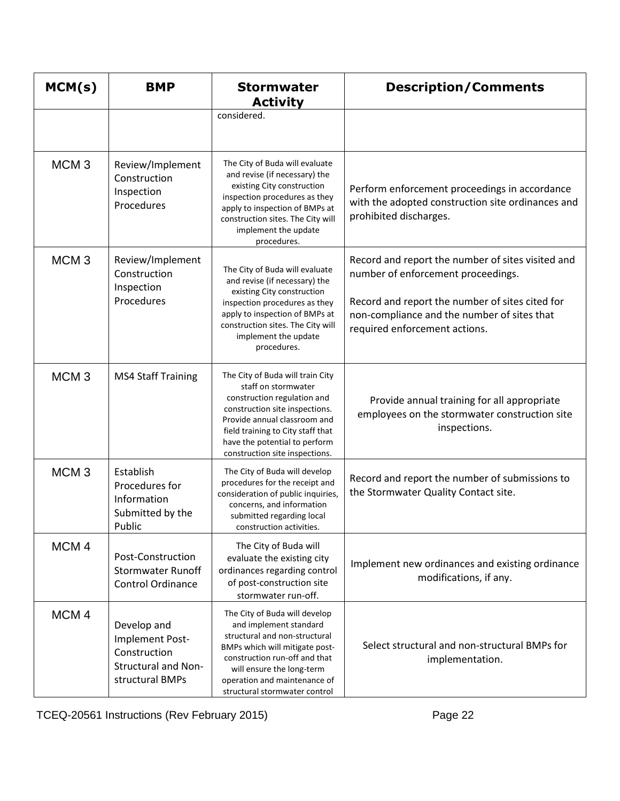| MCM(s)           | <b>BMP</b>                                                                                      | <b>Stormwater</b><br><b>Activity</b>                                                                                                                                                                                                                             | <b>Description/Comments</b>                                                                                                                                                                                                |
|------------------|-------------------------------------------------------------------------------------------------|------------------------------------------------------------------------------------------------------------------------------------------------------------------------------------------------------------------------------------------------------------------|----------------------------------------------------------------------------------------------------------------------------------------------------------------------------------------------------------------------------|
|                  |                                                                                                 | considered.                                                                                                                                                                                                                                                      |                                                                                                                                                                                                                            |
| MCM <sub>3</sub> | Review/Implement<br>Construction<br>Inspection<br>Procedures                                    | The City of Buda will evaluate<br>and revise (if necessary) the<br>existing City construction<br>inspection procedures as they<br>apply to inspection of BMPs at<br>construction sites. The City will<br>implement the update<br>procedures.                     | Perform enforcement proceedings in accordance<br>with the adopted construction site ordinances and<br>prohibited discharges.                                                                                               |
| MCM <sub>3</sub> | Review/Implement<br>Construction<br>Inspection<br>Procedures                                    | The City of Buda will evaluate<br>and revise (if necessary) the<br>existing City construction<br>inspection procedures as they<br>apply to inspection of BMPs at<br>construction sites. The City will<br>implement the update<br>procedures.                     | Record and report the number of sites visited and<br>number of enforcement proceedings.<br>Record and report the number of sites cited for<br>non-compliance and the number of sites that<br>required enforcement actions. |
| MCM <sub>3</sub> | <b>MS4 Staff Training</b>                                                                       | The City of Buda will train City<br>staff on stormwater<br>construction regulation and<br>construction site inspections.<br>Provide annual classroom and<br>field training to City staff that<br>have the potential to perform<br>construction site inspections. | Provide annual training for all appropriate<br>employees on the stormwater construction site<br>inspections.                                                                                                               |
| MCM <sub>3</sub> | Establish<br>Procedures for<br>Information<br>Submitted by the<br>Public                        | The City of Buda will develop<br>procedures for the receipt and<br>consideration of public inquiries,<br>concerns, and information<br>submitted regarding local<br>construction activities.                                                                      | Record and report the number of submissions to<br>the Stormwater Quality Contact site.                                                                                                                                     |
| MCM <sub>4</sub> | Post-Construction<br><b>Stormwater Runoff</b><br><b>Control Ordinance</b>                       | The City of Buda will<br>evaluate the existing city<br>ordinances regarding control<br>of post-construction site<br>stormwater run-off.                                                                                                                          | Implement new ordinances and existing ordinance<br>modifications, if any.                                                                                                                                                  |
| MCM <sub>4</sub> | Develop and<br>Implement Post-<br>Construction<br><b>Structural and Non-</b><br>structural BMPs | The City of Buda will develop<br>and implement standard<br>structural and non-structural<br>BMPs which will mitigate post-<br>construction run-off and that<br>will ensure the long-term<br>operation and maintenance of<br>structural stormwater control        | Select structural and non-structural BMPs for<br>implementation.                                                                                                                                                           |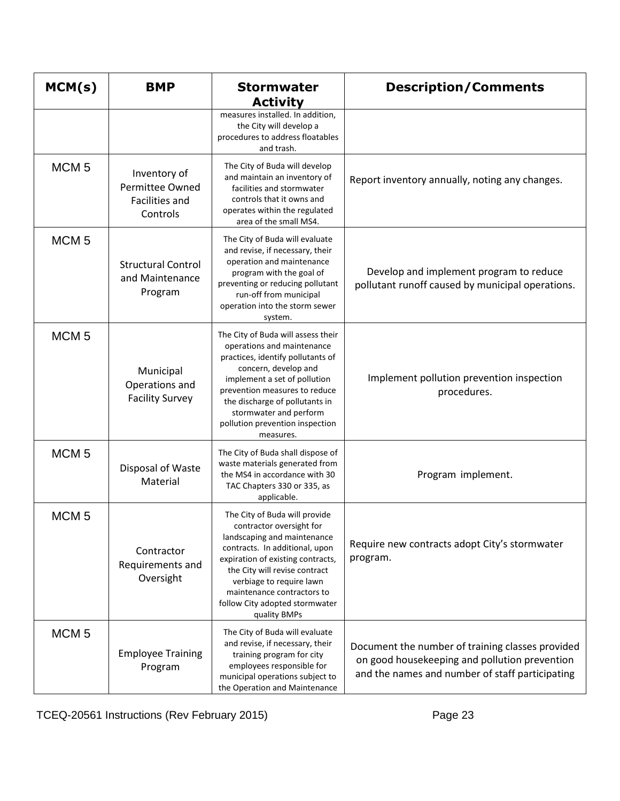| MCM(s)           | <b>BMP</b>                                                    | <b>Stormwater</b><br><b>Activity</b>                                                                                                                                                                                                                                                                         | <b>Description/Comments</b>                                                                                                                          |
|------------------|---------------------------------------------------------------|--------------------------------------------------------------------------------------------------------------------------------------------------------------------------------------------------------------------------------------------------------------------------------------------------------------|------------------------------------------------------------------------------------------------------------------------------------------------------|
|                  |                                                               | measures installed. In addition,<br>the City will develop a<br>procedures to address floatables<br>and trash.                                                                                                                                                                                                |                                                                                                                                                      |
| MCM <sub>5</sub> | Inventory of<br>Permittee Owned<br>Facilities and<br>Controls | The City of Buda will develop<br>and maintain an inventory of<br>facilities and stormwater<br>controls that it owns and<br>operates within the regulated<br>area of the small MS4.                                                                                                                           | Report inventory annually, noting any changes.                                                                                                       |
| MCM <sub>5</sub> | <b>Structural Control</b><br>and Maintenance<br>Program       | The City of Buda will evaluate<br>and revise, if necessary, their<br>operation and maintenance<br>program with the goal of<br>preventing or reducing pollutant<br>run-off from municipal<br>operation into the storm sewer<br>system.                                                                        | Develop and implement program to reduce<br>pollutant runoff caused by municipal operations.                                                          |
| MCM <sub>5</sub> | Municipal<br>Operations and<br><b>Facility Survey</b>         | The City of Buda will assess their<br>operations and maintenance<br>practices, identify pollutants of<br>concern, develop and<br>implement a set of pollution<br>prevention measures to reduce<br>the discharge of pollutants in<br>stormwater and perform<br>pollution prevention inspection<br>measures.   | Implement pollution prevention inspection<br>procedures.                                                                                             |
| MCM <sub>5</sub> | Disposal of Waste<br>Material                                 | The City of Buda shall dispose of<br>waste materials generated from<br>the MS4 in accordance with 30<br>TAC Chapters 330 or 335, as<br>applicable.                                                                                                                                                           | Program implement.                                                                                                                                   |
| MCM <sub>5</sub> | Contractor<br>Requirements and<br>Oversight                   | The City of Buda will provide<br>contractor oversight for<br>landscaping and maintenance<br>contracts. In additional, upon<br>expiration of existing contracts,<br>the City will revise contract<br>verbiage to require lawn<br>maintenance contractors to<br>follow City adopted stormwater<br>quality BMPs | Require new contracts adopt City's stormwater<br>program.                                                                                            |
| MCM <sub>5</sub> | <b>Employee Training</b><br>Program                           | The City of Buda will evaluate<br>and revise, if necessary, their<br>training program for city<br>employees responsible for<br>municipal operations subject to<br>the Operation and Maintenance                                                                                                              | Document the number of training classes provided<br>on good housekeeping and pollution prevention<br>and the names and number of staff participating |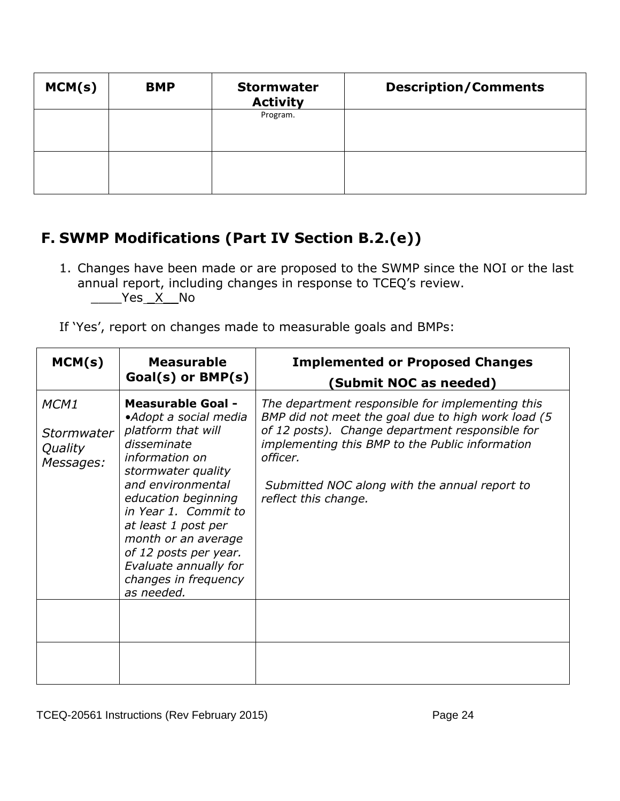| MCM(s) | <b>BMP</b> | <b>Stormwater</b><br><b>Activity</b> | <b>Description/Comments</b> |
|--------|------------|--------------------------------------|-----------------------------|
|        |            | Program.                             |                             |
|        |            |                                      |                             |

# **F. SWMP Modifications (Part IV Section B.2.(e))**

- 1. Changes have been made or are proposed to the SWMP since the NOI or the last annual report, including changes in response to TCEQ's review. Yes X No
- If 'Yes', report on changes made to measurable goals and BMPs:

| MCM(s)                                     | <b>Measurable</b><br>$Goal(s)$ or $BMP(s)$                                                                                                                                                                                                                                                                                               | <b>Implemented or Proposed Changes</b><br>(Submit NOC as needed)                                                                                                                                                                                                                                  |
|--------------------------------------------|------------------------------------------------------------------------------------------------------------------------------------------------------------------------------------------------------------------------------------------------------------------------------------------------------------------------------------------|---------------------------------------------------------------------------------------------------------------------------------------------------------------------------------------------------------------------------------------------------------------------------------------------------|
| MCM1<br>Stormwater<br>Quality<br>Messages: | <b>Measurable Goal -</b><br>•Adopt a social media<br>platform that will<br>disseminate<br>information on<br>stormwater quality<br>and environmental<br>education beginning<br>in Year 1. Commit to<br>at least 1 post per<br>month or an average<br>of 12 posts per year.<br>Evaluate annually for<br>changes in frequency<br>as needed. | The department responsible for implementing this<br>BMP did not meet the goal due to high work load (5<br>of 12 posts). Change department responsible for<br>implementing this BMP to the Public information<br>officer.<br>Submitted NOC along with the annual report to<br>reflect this change. |
|                                            |                                                                                                                                                                                                                                                                                                                                          |                                                                                                                                                                                                                                                                                                   |
|                                            |                                                                                                                                                                                                                                                                                                                                          |                                                                                                                                                                                                                                                                                                   |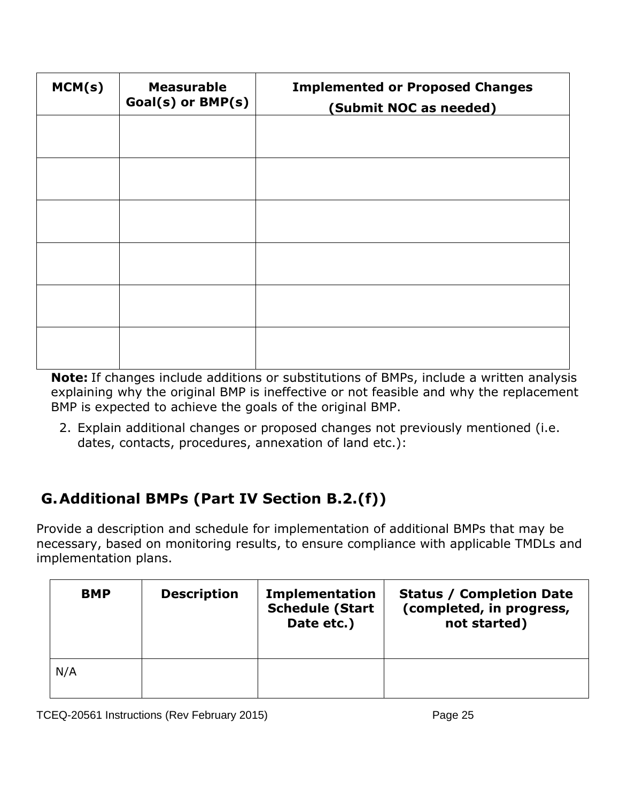| MCM(s) | <b>Measurable</b><br>Goal(s) or BMP(s) | <b>Implemented or Proposed Changes</b><br>(Submit NOC as needed) |
|--------|----------------------------------------|------------------------------------------------------------------|
|        |                                        |                                                                  |
|        |                                        |                                                                  |
|        |                                        |                                                                  |
|        |                                        |                                                                  |
|        |                                        |                                                                  |
|        |                                        |                                                                  |

**Note:** If changes include additions or substitutions of BMPs, include a written analysis explaining why the original BMP is ineffective or not feasible and why the replacement BMP is expected to achieve the goals of the original BMP.

2. Explain additional changes or proposed changes not previously mentioned (i.e. dates, contacts, procedures, annexation of land etc.):

# **G.Additional BMPs (Part IV Section B.2.(f))**

Provide a description and schedule for implementation of additional BMPs that may be necessary, based on monitoring results, to ensure compliance with applicable TMDLs and implementation plans.

| <b>BMP</b> | <b>Description</b> | <b>Implementation</b><br><b>Schedule (Start</b><br>Date etc.) | <b>Status / Completion Date</b><br>(completed, in progress,<br>not started) |
|------------|--------------------|---------------------------------------------------------------|-----------------------------------------------------------------------------|
| N/A        |                    |                                                               |                                                                             |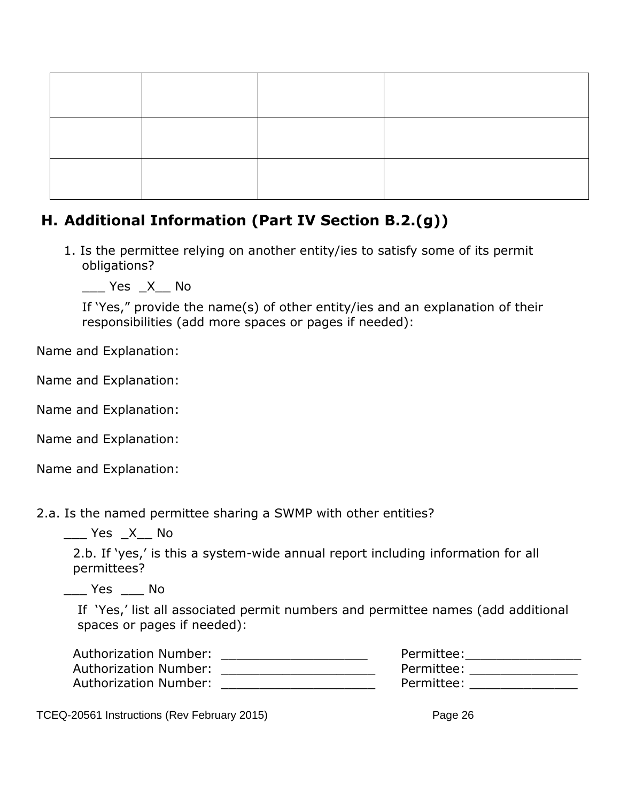#### **H. Additional Information (Part IV Section B.2.(g))**

1. Is the permittee relying on another entity/ies to satisfy some of its permit obligations?

 $\frac{1}{2}$  Yes  $X$  No

If 'Yes," provide the name(s) of other entity/ies and an explanation of their responsibilities (add more spaces or pages if needed):

Name and Explanation:

Name and Explanation:

Name and Explanation:

Name and Explanation:

Name and Explanation:

2.a. Is the named permittee sharing a SWMP with other entities?

\_\_\_ Yes \_X\_\_ No

2.b. If 'yes,' is this a system-wide annual report including information for all permittees?

\_\_\_ Yes \_\_\_ No

If 'Yes,' list all associated permit numbers and permittee names (add additional spaces or pages if needed):

| Authorization Number: | Permittee: |  |
|-----------------------|------------|--|
| Authorization Number: | Permittee: |  |
| Authorization Number: | Permittee: |  |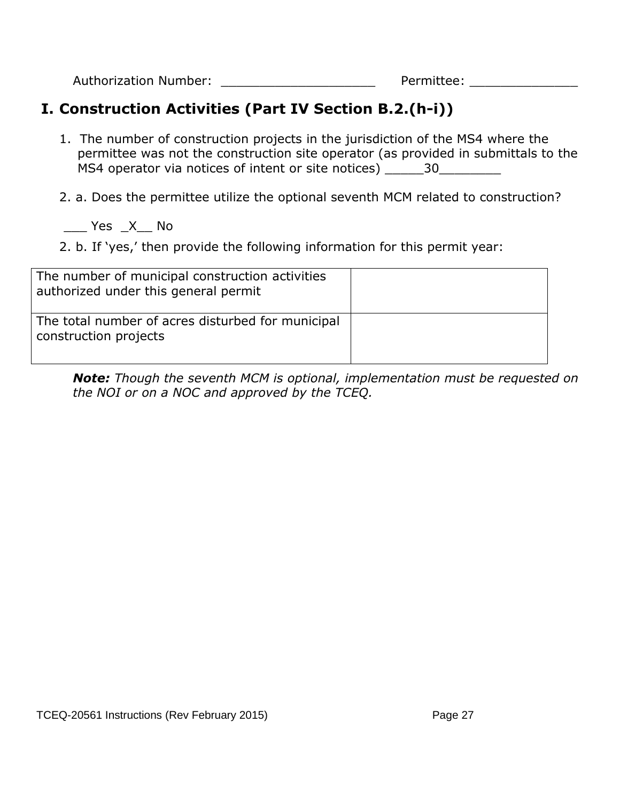Authorization Number: example and the Permittee:

# **I. Construction Activities (Part IV Section B.2.(h-i))**

1. The number of construction projects in the jurisdiction of the MS4 where the permittee was not the construction site operator (as provided in submittals to the MS4 operator via notices of intent or site notices) \_\_\_\_\_30\_\_\_\_\_\_\_\_

2. a. Does the permittee utilize the optional seventh MCM related to construction?

 $\rule{1em}{0.15mm}$  Yes  $\swarrow X$  No

2. b. If 'yes,' then provide the following information for this permit year:

| The number of municipal construction activities<br>authorized under this general permit |  |
|-----------------------------------------------------------------------------------------|--|
| The total number of acres disturbed for municipal<br>construction projects              |  |

*Note: Though the seventh MCM is optional, implementation must be requested on the NOI or on a NOC and approved by the TCEQ.*